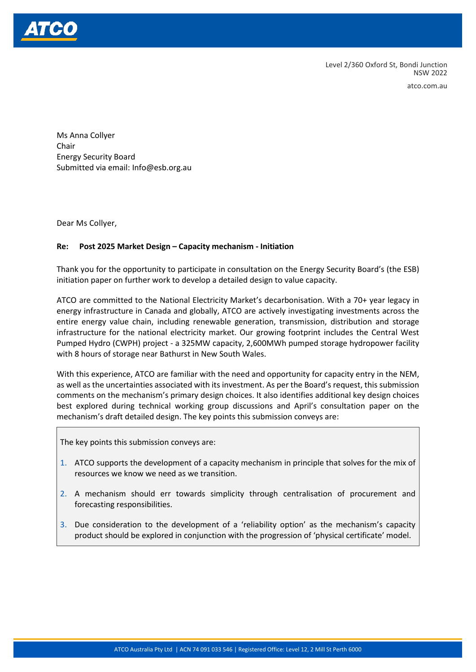

Level 2/360 Oxford St, Bondi Junction NSW 2022

atco.com.au

Ms Anna Collyer Chair Energy Security Board Submitted via email: Info@esb.org.au

Dear Ms Collyer,

## **Re: Post 2025 Market Design – Capacity mechanism - Initiation**

Thank you for the opportunity to participate in consultation on the Energy Security Board's (the ESB) initiation paper on further work to develop a detailed design to value capacity.

ATCO are committed to the National Electricity Market's decarbonisation. With a 70+ year legacy in energy infrastructure in Canada and globally, ATCO are actively investigating investments across the entire energy value chain, including renewable generation, transmission, distribution and storage infrastructure for the national electricity market. Our growing footprint includes the Central West Pumped Hydro (CWPH) project - a 325MW capacity, 2,600MWh pumped storage hydropower facility with 8 hours of storage near Bathurst in New South Wales.

With this experience, ATCO are familiar with the need and opportunity for capacity entry in the NEM, as well as the uncertainties associated with its investment. As per the Board's request, this submission comments on the mechanism's primary design choices. It also identifies additional key design choices best explored during technical working group discussions and April's consultation paper on the mechanism's draft detailed design. The key points this submission conveys are:

The key points this submission conveys are:

- 1. ATCO supports the development of a capacity mechanism in principle that solves for the mix of resources we know we need as we transition.
- 2. A mechanism should err towards simplicity through centralisation of procurement and forecasting responsibilities.
- 3. Due consideration to the development of a 'reliability option' as the mechanism's capacity product should be explored in conjunction with the progression of 'physical certificate' model.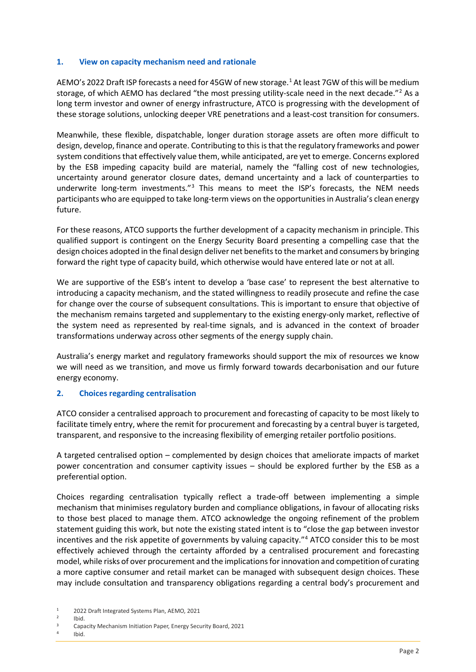## **1. View on capacity mechanism need and rationale**

AEMO's 2022 Draft ISP forecasts a need for 45GW of new storage.<sup>[1](#page-1-0)</sup> At least 7GW of this will be medium storage, of which AEMO has declared "the most pressing utility-scale need in the next decade."<sup>[2](#page-1-1)</sup> As a long term investor and owner of energy infrastructure, ATCO is progressing with the development of these storage solutions, unlocking deeper VRE penetrations and a least-cost transition for consumers.

Meanwhile, these flexible, dispatchable, longer duration storage assets are often more difficult to design, develop, finance and operate. Contributing to this isthat the regulatory frameworks and power system conditions that effectively value them, while anticipated, are yet to emerge. Concerns explored by the ESB impeding capacity build are material, namely the "falling cost of new technologies, uncertainty around generator closure dates, demand uncertainty and a lack of counterparties to underwrite long-term investments."<sup>[3](#page-1-2)</sup> This means to meet the ISP's forecasts, the NEM needs participants who are equipped to take long-term views on the opportunities in Australia's clean energy future.

For these reasons, ATCO supports the further development of a capacity mechanism in principle. This qualified support is contingent on the Energy Security Board presenting a compelling case that the design choices adopted in the final design deliver net benefits to the market and consumers by bringing forward the right type of capacity build, which otherwise would have entered late or not at all.

We are supportive of the ESB's intent to develop a 'base case' to represent the best alternative to introducing a capacity mechanism, and the stated willingness to readily prosecute and refine the case for change over the course of subsequent consultations. This is important to ensure that objective of the mechanism remains targeted and supplementary to the existing energy-only market, reflective of the system need as represented by real-time signals, and is advanced in the context of broader transformations underway across other segments of the energy supply chain.

Australia's energy market and regulatory frameworks should support the mix of resources we know we will need as we transition, and move us firmly forward towards decarbonisation and our future energy economy.

## **2. Choices regarding centralisation**

ATCO consider a centralised approach to procurement and forecasting of capacity to be most likely to facilitate timely entry, where the remit for procurement and forecasting by a central buyer is targeted, transparent, and responsive to the increasing flexibility of emerging retailer portfolio positions.

A targeted centralised option – complemented by design choices that ameliorate impacts of market power concentration and consumer captivity issues – should be explored further by the ESB as a preferential option.

Choices regarding centralisation typically reflect a trade-off between implementing a simple mechanism that minimises regulatory burden and compliance obligations, in favour of allocating risks to those best placed to manage them. ATCO acknowledge the ongoing refinement of the problem statement guiding this work, but note the existing stated intent is to "close the gap between investor incentives and the risk appetite of governments by valuing capacity."[4](#page-1-3) ATCO consider this to be most effectively achieved through the certainty afforded by a centralised procurement and forecasting model, while risks of over procurement and the implications for innovation and competition of curating a more captive consumer and retail market can be managed with subsequent design choices. These may include consultation and transparency obligations regarding a central body's procurement and

- <span id="page-1-2"></span><span id="page-1-1"></span><sup>2</sup> Ibid.
- <sup>3</sup> Capacity Mechanism Initiation Paper, Energy Security Board, 2021
- <span id="page-1-3"></span> $4$  Ibid.

<span id="page-1-0"></span><sup>1</sup> 2022 Draft Integrated Systems Plan, AEMO, 2021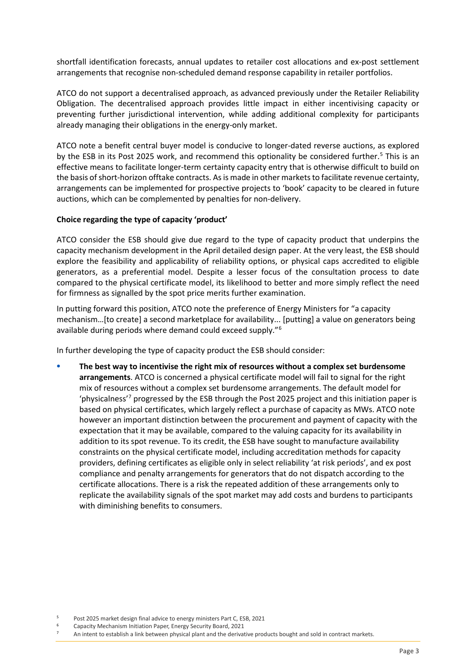shortfall identification forecasts, annual updates to retailer cost allocations and ex-post settlement arrangements that recognise non-scheduled demand response capability in retailer portfolios.

ATCO do not support a decentralised approach, as advanced previously under the Retailer Reliability Obligation. The decentralised approach provides little impact in either incentivising capacity or preventing further jurisdictional intervention, while adding additional complexity for participants already managing their obligations in the energy-only market.

ATCO note a benefit central buyer model is conducive to longer-dated reverse auctions, as explored by the ESB in its Post 202[5](#page-2-0) work, and recommend this optionality be considered further.<sup>5</sup> This is an effective means to facilitate longer-term certainty capacity entry that is otherwise difficult to build on the basis of short-horizon offtake contracts. As is made in other markets to facilitate revenue certainty, arrangements can be implemented for prospective projects to 'book' capacity to be cleared in future auctions, which can be complemented by penalties for non-delivery.

## **Choice regarding the type of capacity 'product'**

ATCO consider the ESB should give due regard to the type of capacity product that underpins the capacity mechanism development in the April detailed design paper. At the very least, the ESB should explore the feasibility and applicability of reliability options, or physical caps accredited to eligible generators, as a preferential model. Despite a lesser focus of the consultation process to date compared to the physical certificate model, its likelihood to better and more simply reflect the need for firmness as signalled by the spot price merits further examination.

In putting forward this position, ATCO note the preference of Energy Ministers for "a capacity mechanism…[to create] a second marketplace for availability... [putting] a value on generators being available during periods where demand could exceed supply."[6](#page-2-1)

In further developing the type of capacity product the ESB should consider:

• **The best way to incentivise the right mix of resources without a complex set burdensome arrangements**. ATCO is concerned a physical certificate model will fail to signal for the right mix of resources without a complex set burdensome arrangements. The default model for 'physicalness'[7](#page-2-2) progressed by the ESB through the Post 2025 project and this initiation paper is based on physical certificates, which largely reflect a purchase of capacity as MWs. ATCO note however an important distinction between the procurement and payment of capacity with the expectation that it may be available, compared to the valuing capacity for its availability in addition to its spot revenue. To its credit, the ESB have sought to manufacture availability constraints on the physical certificate model, including accreditation methods for capacity providers, defining certificates as eligible only in select reliability 'at risk periods', and ex post compliance and penalty arrangements for generators that do not dispatch according to the certificate allocations. There is a risk the repeated addition of these arrangements only to replicate the availability signals of the spot market may add costs and burdens to participants with diminishing benefits to consumers.

<sup>5</sup> Post 2025 market design final advice to energy ministers Part C, ESB, 2021

<span id="page-2-2"></span><span id="page-2-1"></span><span id="page-2-0"></span><sup>6</sup> Capacity Mechanism Initiation Paper, Energy Security Board, 2021

<sup>&</sup>lt;sup>7</sup> An intent to establish a link between physical plant and the derivative products bought and sold in contract markets.